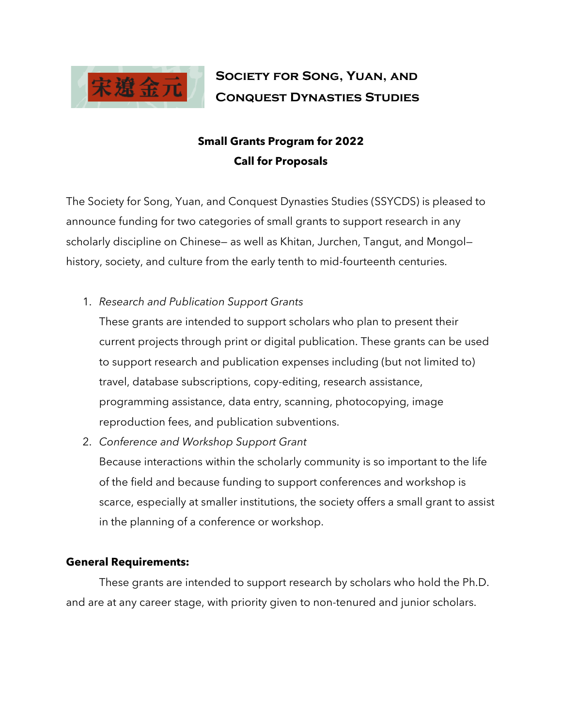

# **Society for Song, Yuan, and Conquest Dynasties Studies**

# **Small Grants Program for 2022 Call for Proposals**

The Society for Song, Yuan, and Conquest Dynasties Studies (SSYCDS) is pleased to announce funding for two categories of small grants to support research in any scholarly discipline on Chinese— as well as Khitan, Jurchen, Tangut, and Mongol history, society, and culture from the early tenth to mid-fourteenth centuries.

1. *Research and Publication Support Grants*

These grants are intended to support scholars who plan to present their current projects through print or digital publication. These grants can be used to support research and publication expenses including (but not limited to) travel, database subscriptions, copy-editing, research assistance, programming assistance, data entry, scanning, photocopying, image reproduction fees, and publication subventions.

2. *Conference and Workshop Support Grant*

Because interactions within the scholarly community is so important to the life of the field and because funding to support conferences and workshop is scarce, especially at smaller institutions, the society offers a small grant to assist in the planning of a conference or workshop.

## **General Requirements:**

These grants are intended to support research by scholars who hold the Ph.D. and are at any career stage, with priority given to non-tenured and junior scholars.